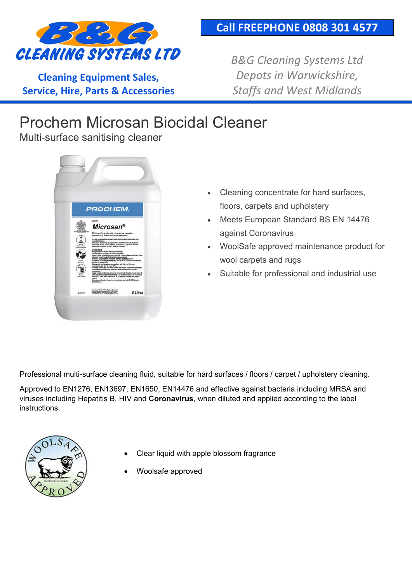

**Cleaning Equipment Sales, Service, Hire, Parts & Accessories** *B&G Cleaning Systems Ltd Depots in Warwickshire, Staffs and West Midlands*

## Prochem Microsan Biocidal Cleaner

Multi-surface sanitising cleaner



- Cleaning concentrate for hard surfaces, floors, carpets and upholstery
- Meets European Standard BS EN 14476 against Coronavirus
- WoolSafe approved maintenance product for wool carpets and rugs
- Suitable for professional and industrial use

Professional multi-surface cleaning fluid, suitable for hard surfaces / floors / carpet / upholstery cleaning.

Approved to EN1276, EN13697, EN1650, EN14476 and effective against bacteria including MRSA and viruses including Hepatitis B, HIV and **Coronavirus**, when diluted and applied according to the label **instructions** 



- Clear liquid with apple blossom fragrance
- Woolsafe approved